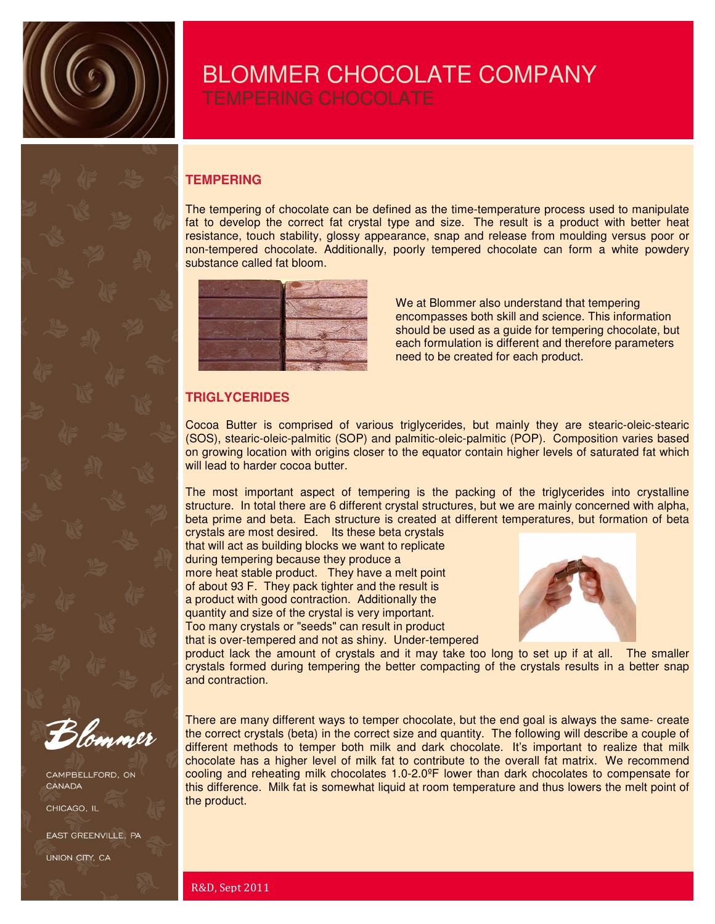

## BLOMMER CHOCOLATE COMPANY

### **TEMPERING**

The tempering of chocolate can be defined as the time-temperature process used to manipulate fat to develop the correct fat crystal type and size. The result is a product with better heat resistance, touch stability, glossy appearance, snap and release from moulding versus poor or non-tempered chocolate. Additionally, poorly tempered chocolate can form a white powdery substance called fat bloom.



We at Blommer also understand that tempering encompasses both skill and science. This information should be used as a guide for tempering chocolate, but each formulation is different and therefore parameters need to be created for each product.

### **TRIGLYCERIDES**

Cocoa Butter is comprised of various triglycerides, but mainly they are stearic-oleic-stearic (SOS), stearic-oleic-palmitic (SOP) and palmitic-oleic-palmitic (POP). Composition varies based on growing location with origins closer to the equator contain higher levels of saturated fat which will lead to harder cocoa butter.

The most important aspect of tempering is the packing of the triglycerides into crystalline structure. In total there are 6 different crystal structures, but we are mainly concerned with alpha, beta prime and beta. Each structure is created at different temperatures, but formation of beta crystals are most desired. Its these beta crystals

that will act as building blocks we want to replicate during tempering because they produce a more heat stable product. They have a melt point of about 93 F. They pack tighter and the result is a product with good contraction. Additionally the quantity and size of the crystal is very important. Too many crystals or "seeds" can result in product that is over-tempered and not as shiny. Under-tempered



product lack the amount of crystals and it may take too long to set up if at all. The smaller crystals formed during tempering the better compacting of the crystals results in a better snap and contraction.

There are many different ways to temper chocolate, but the end goal is always the same- create

CAMPBELLFORD, ON CANADA

CHICAGO, IL

EAST GREENVILLE, PA

UNION CITY, CA

the correct crystals (beta) in the correct size and quantity. The following will describe a couple of different methods to temper both milk and dark chocolate. It's important to realize that milk chocolate has a higher level of milk fat to contribute to the overall fat matrix. We recommend cooling and reheating milk chocolates 1.0-2.0ºF lower than dark chocolates to compensate for this difference. Milk fat is somewhat liquid at room temperature and thus lowers the melt point of the product.